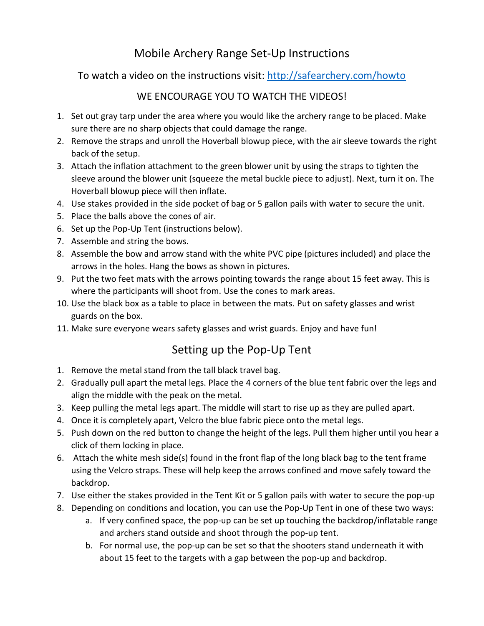## Mobile Archery Range Set-Up Instructions

To watch a video on the instructions visit:<http://safearchery.com/howto>

### WE ENCOURAGE YOU TO WATCH THE VIDEOS!

- 1. Set out gray tarp under the area where you would like the archery range to be placed. Make sure there are no sharp objects that could damage the range.
- 2. Remove the straps and unroll the Hoverball blowup piece, with the air sleeve towards the right back of the setup.
- 3. Attach the inflation attachment to the green blower unit by using the straps to tighten the sleeve around the blower unit (squeeze the metal buckle piece to adjust). Next, turn it on. The Hoverball blowup piece will then inflate.
- 4. Use stakes provided in the side pocket of bag or 5 gallon pails with water to secure the unit.
- 5. Place the balls above the cones of air.
- 6. Set up the Pop-Up Tent (instructions below).
- 7. Assemble and string the bows.
- 8. Assemble the bow and arrow stand with the white PVC pipe (pictures included) and place the arrows in the holes. Hang the bows as shown in pictures.
- 9. Put the two feet mats with the arrows pointing towards the range about 15 feet away. This is where the participants will shoot from. Use the cones to mark areas.
- 10. Use the black box as a table to place in between the mats. Put on safety glasses and wrist guards on the box.
- 11. Make sure everyone wears safety glasses and wrist guards. Enjoy and have fun!

## Setting up the Pop-Up Tent

- 1. Remove the metal stand from the tall black travel bag.
- 2. Gradually pull apart the metal legs. Place the 4 corners of the blue tent fabric over the legs and align the middle with the peak on the metal.
- 3. Keep pulling the metal legs apart. The middle will start to rise up as they are pulled apart.
- 4. Once it is completely apart, Velcro the blue fabric piece onto the metal legs.
- 5. Push down on the red button to change the height of the legs. Pull them higher until you hear a click of them locking in place.
- 6. Attach the white mesh side(s) found in the front flap of the long black bag to the tent frame using the Velcro straps. These will help keep the arrows confined and move safely toward the backdrop.
- 7. Use either the stakes provided in the Tent Kit or 5 gallon pails with water to secure the pop-up
- 8. Depending on conditions and location, you can use the Pop-Up Tent in one of these two ways:
	- a. If very confined space, the pop-up can be set up touching the backdrop/inflatable range and archers stand outside and shoot through the pop-up tent.
	- b. For normal use, the pop-up can be set so that the shooters stand underneath it with about 15 feet to the targets with a gap between the pop-up and backdrop.